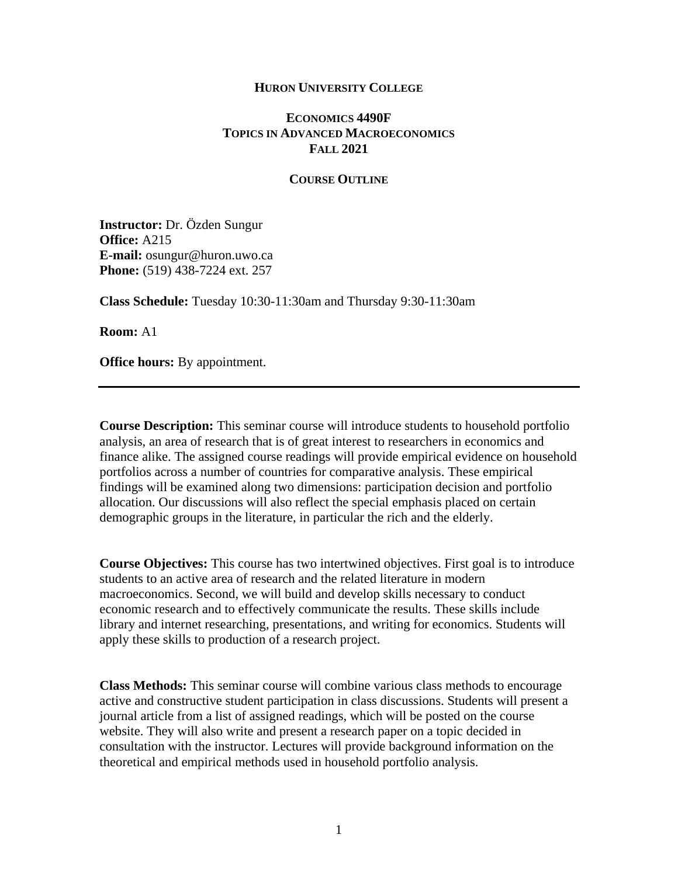#### **HURON UNIVERSITY COLLEGE**

# **ECONOMICS 4490F TOPICS IN ADVANCED MACROECONOMICS FALL 2021**

#### **COURSE OUTLINE**

**Instructor:** Dr. Özden Sungur **Office:** A215 **E-mail:** osungur@huron.uwo.ca **Phone:** (519) 438-7224 ext. 257

**Class Schedule:** Tuesday 10:30-11:30am and Thursday 9:30-11:30am

**Room:** A1

**Office hours:** By appointment.

**Course Description:** This seminar course will introduce students to household portfolio analysis, an area of research that is of great interest to researchers in economics and finance alike. The assigned course readings will provide empirical evidence on household portfolios across a number of countries for comparative analysis. These empirical findings will be examined along two dimensions: participation decision and portfolio allocation. Our discussions will also reflect the special emphasis placed on certain demographic groups in the literature, in particular the rich and the elderly.

**Course Objectives:** This course has two intertwined objectives. First goal is to introduce students to an active area of research and the related literature in modern macroeconomics. Second, we will build and develop skills necessary to conduct economic research and to effectively communicate the results. These skills include library and internet researching, presentations, and writing for economics. Students will apply these skills to production of a research project.

**Class Methods:** This seminar course will combine various class methods to encourage active and constructive student participation in class discussions. Students will present a journal article from a list of assigned readings, which will be posted on the course website. They will also write and present a research paper on a topic decided in consultation with the instructor. Lectures will provide background information on the theoretical and empirical methods used in household portfolio analysis.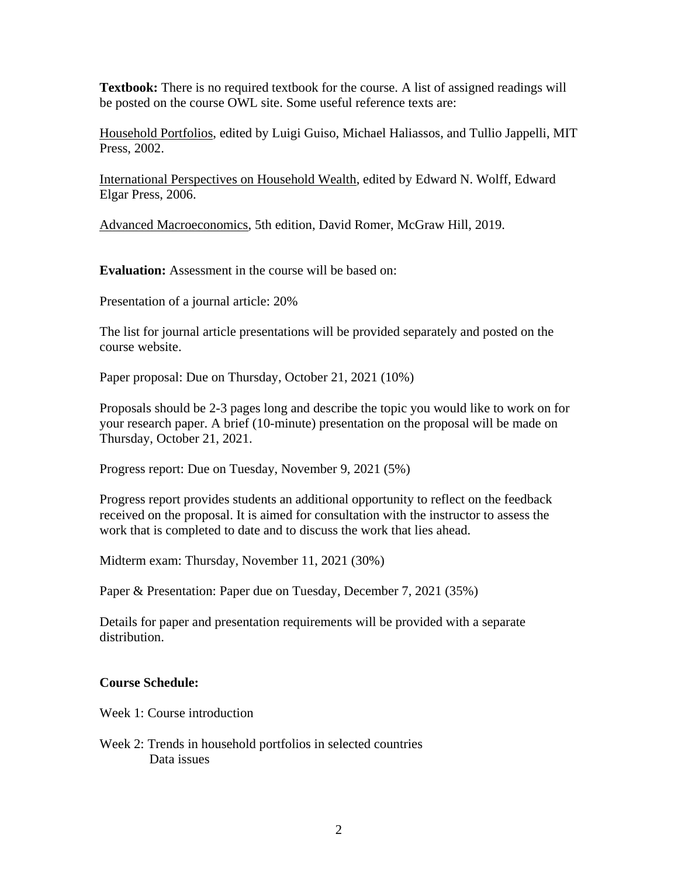**Textbook:** There is no required textbook for the course. A list of assigned readings will be posted on the course OWL site. Some useful reference texts are:

Household Portfolios, edited by Luigi Guiso, Michael Haliassos, and Tullio Jappelli, MIT Press, 2002.

International Perspectives on Household Wealth, edited by Edward N. Wolff, Edward Elgar Press, 2006.

Advanced Macroeconomics, 5th edition, David Romer, McGraw Hill, 2019.

**Evaluation:** Assessment in the course will be based on:

Presentation of a journal article: 20%

The list for journal article presentations will be provided separately and posted on the course website.

Paper proposal: Due on Thursday, October 21, 2021 (10%)

Proposals should be 2-3 pages long and describe the topic you would like to work on for your research paper. A brief (10-minute) presentation on the proposal will be made on Thursday, October 21, 2021.

Progress report: Due on Tuesday, November 9, 2021 (5%)

Progress report provides students an additional opportunity to reflect on the feedback received on the proposal. It is aimed for consultation with the instructor to assess the work that is completed to date and to discuss the work that lies ahead.

Midterm exam: Thursday, November 11, 2021 (30%)

Paper & Presentation: Paper due on Tuesday, December 7, 2021 (35%)

Details for paper and presentation requirements will be provided with a separate distribution.

# **Course Schedule:**

Week 1: Course introduction

Week 2: Trends in household portfolios in selected countries Data issues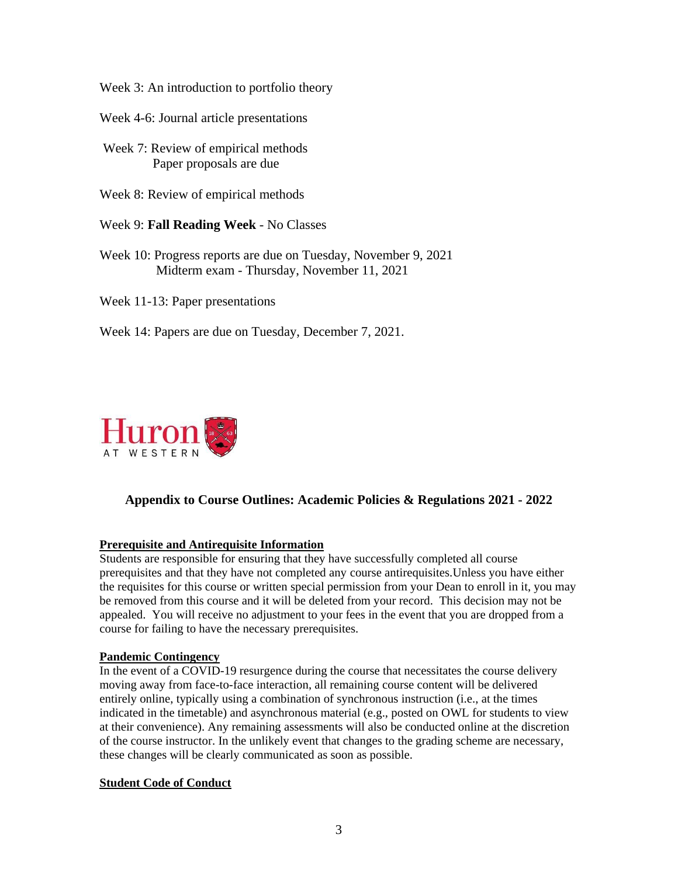Week 3: An introduction to portfolio theory

- Week 4-6: Journal article presentations
- Week 7: Review of empirical methods Paper proposals are due
- Week 8: Review of empirical methods
- Week 9: **Fall Reading Week** No Classes
- Week 10: Progress reports are due on Tuesday, November 9, 2021 Midterm exam - Thursday, November 11, 2021
- Week 11-13: Paper presentations
- Week 14: Papers are due on Tuesday, December 7, 2021.



# **Appendix to Course Outlines: Academic Policies & Regulations 2021 - 2022**

### **Prerequisite and Antirequisite Information**

Students are responsible for ensuring that they have successfully completed all course prerequisites and that they have not completed any course antirequisites.Unless you have either the requisites for this course or written special permission from your Dean to enroll in it, you may be removed from this course and it will be deleted from your record. This decision may not be appealed. You will receive no adjustment to your fees in the event that you are dropped from a course for failing to have the necessary prerequisites.

### **Pandemic Contingency**

In the event of a COVID-19 resurgence during the course that necessitates the course delivery moving away from face-to-face interaction, all remaining course content will be delivered entirely online, typically using a combination of synchronous instruction (i.e., at the times indicated in the timetable) and asynchronous material (e.g., posted on OWL for students to view at their convenience). Any remaining assessments will also be conducted online at the discretion of the course instructor. In the unlikely event that changes to the grading scheme are necessary, these changes will be clearly communicated as soon as possible.

### **Student Code of Conduct**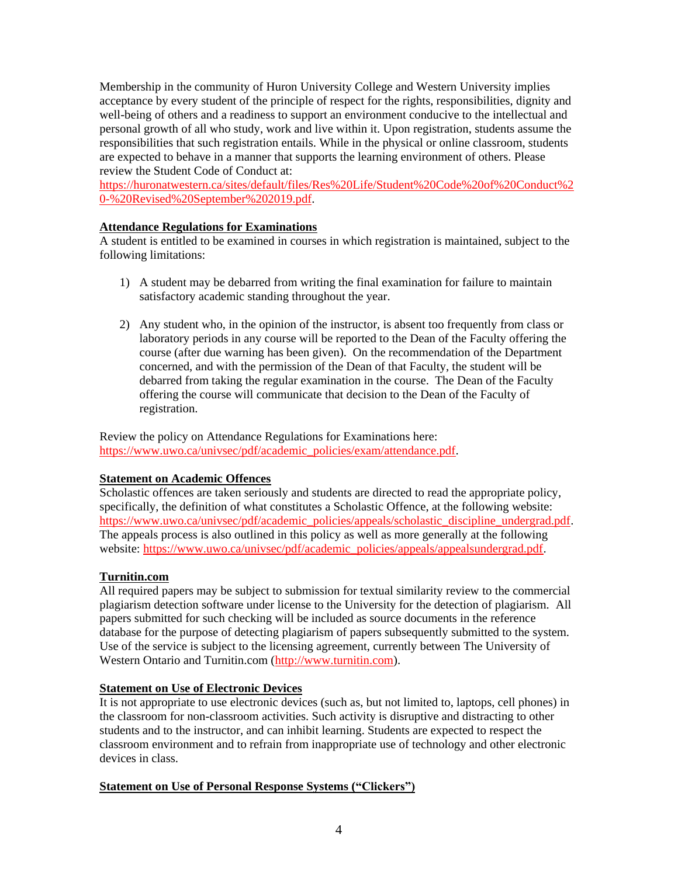Membership in the community of Huron University College and Western University implies acceptance by every student of the principle of respect for the rights, responsibilities, dignity and well-being of others and a readiness to support an environment conducive to the intellectual and personal growth of all who study, work and live within it. Upon registration, students assume the responsibilities that such registration entails. While in the physical or online classroom, students are expected to behave in a manner that supports the learning environment of others. Please review the Student Code of Conduct at:

[https://huronatwestern.ca/sites/default/files/Res%20Life/Student%20Code%20of%20Conduct%2](https://huronatwestern.ca/sites/default/files/Res%20Life/Student%20Code%20of%20Conduct%20-%20Revised%20September%202019.pdf) [0-%20Revised%20September%202019.pdf.](https://huronatwestern.ca/sites/default/files/Res%20Life/Student%20Code%20of%20Conduct%20-%20Revised%20September%202019.pdf)

## **Attendance Regulations for Examinations**

A student is entitled to be examined in courses in which registration is maintained, subject to the following limitations:

- 1) A student may be debarred from writing the final examination for failure to maintain satisfactory academic standing throughout the year.
- 2) Any student who, in the opinion of the instructor, is absent too frequently from class or laboratory periods in any course will be reported to the Dean of the Faculty offering the course (after due warning has been given). On the recommendation of the Department concerned, and with the permission of the Dean of that Faculty, the student will be debarred from taking the regular examination in the course. The Dean of the Faculty offering the course will communicate that decision to the Dean of the Faculty of registration.

Review the policy on Attendance Regulations for Examinations here: [https://www.uwo.ca/univsec/pdf/academic\\_policies/exam/attendance.pdf.](https://www.uwo.ca/univsec/pdf/academic_policies/exam/attendance.pdf)

### **Statement on Academic Offences**

Scholastic offences are taken seriously and students are directed to read the appropriate policy, specifically, the definition of what constitutes a Scholastic Offence, at the following website: [https://www.uwo.ca/univsec/pdf/academic\\_policies/appeals/scholastic\\_discipline\\_undergrad.pdf.](https://www.uwo.ca/univsec/pdf/academic_policies/appeals/scholastic_discipline_undergrad.pdf) The appeals process is also outlined in this policy as well as more generally at the following website: [https://www.uwo.ca/univsec/pdf/academic\\_policies/appeals/appealsundergrad.pdf.](https://www.uwo.ca/univsec/pdf/academic_policies/appeals/appealsundergrad.pdf)

### **Turnitin.com**

All required papers may be subject to submission for textual similarity review to the commercial plagiarism detection software under license to the University for the detection of plagiarism. All papers submitted for such checking will be included as source documents in the reference database for the purpose of detecting plagiarism of papers subsequently submitted to the system. Use of the service is subject to the licensing agreement, currently between The University of Western Ontario and Turnitin.com [\(http://www.turnitin.com\)](http://www.turnitin.com/).

### **Statement on Use of Electronic Devices**

It is not appropriate to use electronic devices (such as, but not limited to, laptops, cell phones) in the classroom for non-classroom activities. Such activity is disruptive and distracting to other students and to the instructor, and can inhibit learning. Students are expected to respect the classroom environment and to refrain from inappropriate use of technology and other electronic devices in class.

### **Statement on Use of Personal Response Systems ("Clickers")**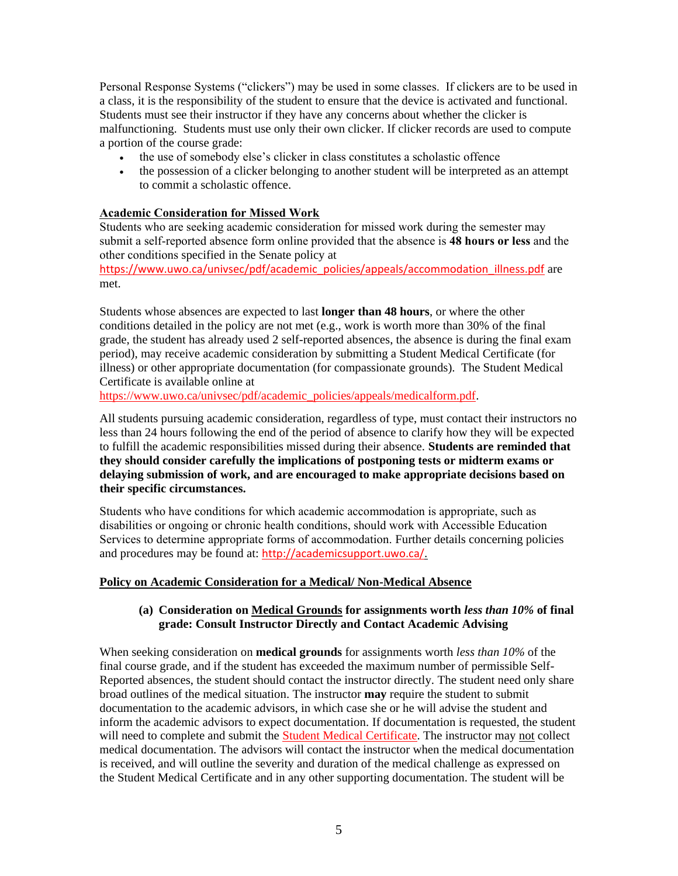Personal Response Systems ("clickers") may be used in some classes. If clickers are to be used in a class, it is the responsibility of the student to ensure that the device is activated and functional. Students must see their instructor if they have any concerns about whether the clicker is malfunctioning. Students must use only their own clicker. If clicker records are used to compute a portion of the course grade:

- the use of somebody else's clicker in class constitutes a scholastic offence
- the possession of a clicker belonging to another student will be interpreted as an attempt to commit a scholastic offence.

## **Academic Consideration for Missed Work**

Students who are seeking academic consideration for missed work during the semester may submit a self-reported absence form online provided that the absence is **48 hours or less** and the other conditions specified in the Senate policy at

[https://www.uwo.ca/univsec/pdf/academic\\_policies/appeals/accommodation\\_illness.pdf](https://www.uwo.ca/univsec/pdf/academic_policies/appeals/accommodation_illness.pdf) are met.

Students whose absences are expected to last **longer than 48 hours**, or where the other conditions detailed in the policy are not met (e.g., work is worth more than 30% of the final grade, the student has already used 2 self-reported absences, the absence is during the final exam period), may receive academic consideration by submitting a Student Medical Certificate (for illness) or other appropriate documentation (for compassionate grounds). The Student Medical Certificate is available online at

[https://www.uwo.ca/univsec/pdf/academic\\_policies/appeals/medicalform.pdf.](https://www.uwo.ca/univsec/pdf/academic_policies/appeals/medicalform.pdf)

All students pursuing academic consideration, regardless of type, must contact their instructors no less than 24 hours following the end of the period of absence to clarify how they will be expected to fulfill the academic responsibilities missed during their absence. **Students are reminded that they should consider carefully the implications of postponing tests or midterm exams or delaying submission of work, and are encouraged to make appropriate decisions based on their specific circumstances.**

Students who have conditions for which academic accommodation is appropriate, such as disabilities or ongoing or chronic health conditions, should work with Accessible Education Services to determine appropriate forms of accommodation. Further details concerning policies and procedures may be found at: [http://academicsupport.uwo.ca/.](http://academicsupport.uwo.ca/)

### **Policy on Academic Consideration for a Medical/ Non-Medical Absence**

### **(a) Consideration on Medical Grounds for assignments worth** *less than 10%* **of final grade: Consult Instructor Directly and Contact Academic Advising**

When seeking consideration on **medical grounds** for assignments worth *less than 10%* of the final course grade, and if the student has exceeded the maximum number of permissible Self-Reported absences, the student should contact the instructor directly. The student need only share broad outlines of the medical situation. The instructor **may** require the student to submit documentation to the academic advisors, in which case she or he will advise the student and inform the academic advisors to expect documentation. If documentation is requested, the student will need to complete and submit the [Student Medical Certificate.](https://www.uwo.ca/univsec/pdf/academic_policies/appeals/medicalform_15JUN.pdf) The instructor may not collect medical documentation. The advisors will contact the instructor when the medical documentation is received, and will outline the severity and duration of the medical challenge as expressed on the Student Medical Certificate and in any other supporting documentation. The student will be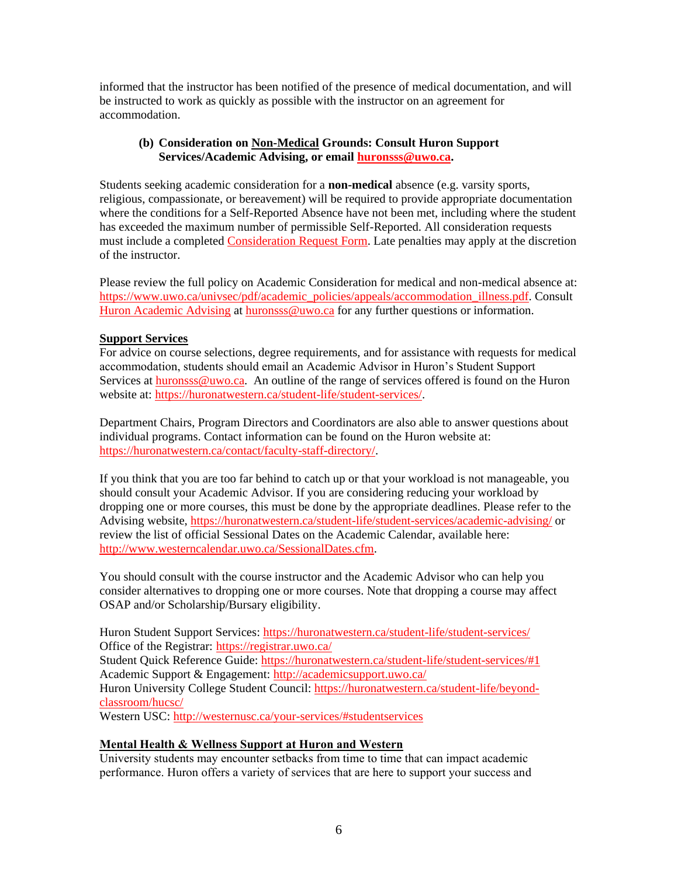informed that the instructor has been notified of the presence of medical documentation, and will be instructed to work as quickly as possible with the instructor on an agreement for accommodation.

### **(b) Consideration on Non-Medical Grounds: Consult Huron Support Services/Academic Advising, or email [huronsss@uwo.ca.](mailto:huronsss@uwo.ca)**

Students seeking academic consideration for a **non-medical** absence (e.g. varsity sports, religious, compassionate, or bereavement) will be required to provide appropriate documentation where the conditions for a Self-Reported Absence have not been met, including where the student has exceeded the maximum number of permissible Self-Reported. All consideration requests must include a completed [Consideration Request Form.](https://huronatwestern.ca/sites/default/files/Forms/Academic%20Consideration%20Request%20Form%202020.pdf) Late penalties may apply at the discretion of the instructor.

Please review the full policy on Academic Consideration for medical and non-medical absence at: [https://www.uwo.ca/univsec/pdf/academic\\_policies/appeals/accommodation\\_illness.pdf.](https://www.uwo.ca/univsec/pdf/academic_policies/appeals/accommodation_illness.pdf) Consult [Huron Academic Advising](https://huronatwestern.ca/student-life/student-services/academic-advising/) at [huronsss@uwo.ca](mailto:huronsss@uwo.ca) for any further questions or information.

## **Support Services**

For advice on course selections, degree requirements, and for assistance with requests for medical accommodation, students should email an Academic Advisor in Huron's Student Support Services at [huronsss@uwo.ca.](mailto:huronsss@uwo.ca) An outline of the range of services offered is found on the Huron website at: [https://huronatwestern.ca/student-life/student-services/.](https://huronatwestern.ca/student-life/student-services/)

Department Chairs, Program Directors and Coordinators are also able to answer questions about individual programs. Contact information can be found on the Huron website at: [https://huronatwestern.ca/contact/faculty-staff-directory/.](https://huronatwestern.ca/contact/faculty-staff-directory/)

If you think that you are too far behind to catch up or that your workload is not manageable, you should consult your Academic Advisor. If you are considering reducing your workload by dropping one or more courses, this must be done by the appropriate deadlines. Please refer to the Advising website, <https://huronatwestern.ca/student-life/student-services/academic-advising/> or review the list of official Sessional Dates on the Academic Calendar, available here: [http://www.westerncalendar.uwo.ca/SessionalDates.cfm.](http://www.westerncalendar.uwo.ca/SessionalDates.cfm)

You should consult with the course instructor and the Academic Advisor who can help you consider alternatives to dropping one or more courses. Note that dropping a course may affect OSAP and/or Scholarship/Bursary eligibility.

Huron Student Support Services:<https://huronatwestern.ca/student-life/student-services/> Office of the Registrar: <https://registrar.uwo.ca/> Student Quick Reference Guide:<https://huronatwestern.ca/student-life/student-services/#1> Academic Support & Engagement:<http://academicsupport.uwo.ca/> Huron University College Student Council: [https://huronatwestern.ca/student-life/beyond](https://huronatwestern.ca/student-life/beyond-classroom/hucsc/)[classroom/hucsc/](https://huronatwestern.ca/student-life/beyond-classroom/hucsc/)  Western USC:<http://westernusc.ca/your-services/#studentservices>

### **Mental Health & Wellness Support at Huron and Western**

University students may encounter setbacks from time to time that can impact academic performance. Huron offers a variety of services that are here to support your success and